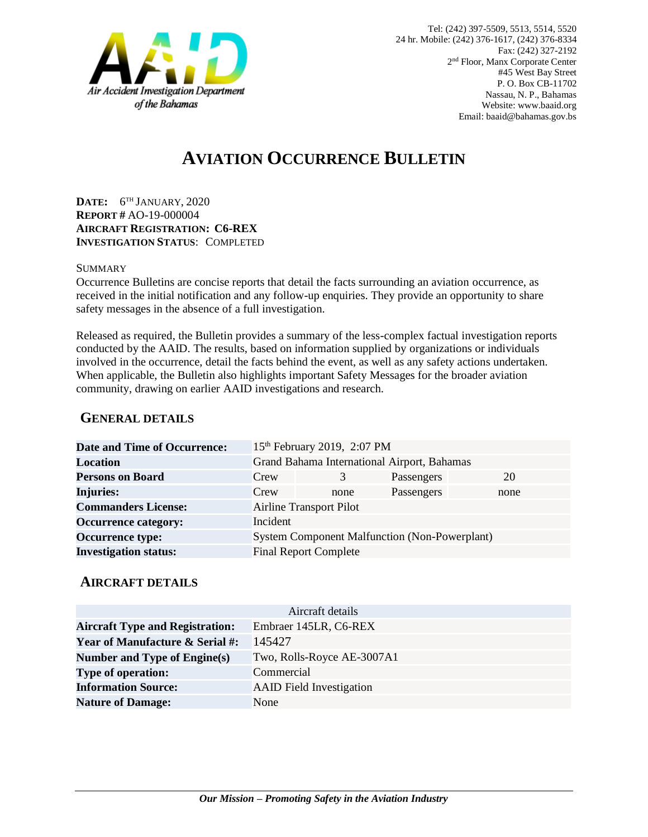

# **AVIATION OCCURRENCE BULLETIN**

**DATE:** 6 TH JANUARY, 2020 **REPORT #** AO-19-000004 **AIRCRAFT REGISTRATION: C6-REX INVESTIGATION STATUS**: COMPLETED

#### SUMMARY

Occurrence Bulletins are concise reports that detail the facts surrounding an aviation occurrence, as received in the initial notification and any follow-up enquiries. They provide an opportunity to share safety messages in the absence of a full investigation*.*

Released as required, the Bulletin provides a summary of the less-complex factual investigation reports conducted by the AAID. The results, based on information supplied by organizations or individuals involved in the occurrence, detail the facts behind the event, as well as any safety actions undertaken. When applicable, the Bulletin also highlights important Safety Messages for the broader aviation community, drawing on earlier AAID investigations and research.

### **GENERAL DETAILS**

| <b>Date and Time of Occurrence:</b> |                                                      | 15th February 2019, 2:07 PM |            |      |
|-------------------------------------|------------------------------------------------------|-----------------------------|------------|------|
| Location                            | Grand Bahama International Airport, Bahamas          |                             |            |      |
| <b>Persons on Board</b>             | Crew                                                 | 3                           | Passengers | 20   |
| <b>Injuries:</b>                    | Crew                                                 | none                        | Passengers | none |
| <b>Commanders License:</b>          | <b>Airline Transport Pilot</b>                       |                             |            |      |
| <b>Occurrence category:</b>         | Incident                                             |                             |            |      |
| <b>Occurrence type:</b>             | <b>System Component Malfunction (Non-Powerplant)</b> |                             |            |      |
| <b>Investigation status:</b>        | <b>Final Report Complete</b>                         |                             |            |      |

#### **AIRCRAFT DETAILS**

| Aircraft details                           |                                 |  |  |  |
|--------------------------------------------|---------------------------------|--|--|--|
| <b>Aircraft Type and Registration:</b>     | Embraer 145LR, C6-REX           |  |  |  |
| <b>Year of Manufacture &amp; Serial #:</b> | 145427                          |  |  |  |
| Number and Type of Engine(s)               | Two, Rolls-Royce AE-3007A1      |  |  |  |
| <b>Type of operation:</b>                  | Commercial                      |  |  |  |
| <b>Information Source:</b>                 | <b>AAID</b> Field Investigation |  |  |  |
| <b>Nature of Damage:</b>                   | None                            |  |  |  |